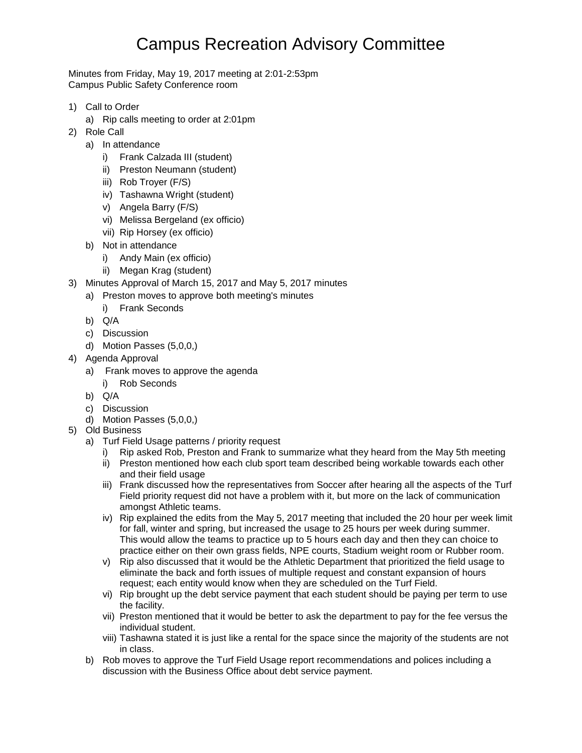## Campus Recreation Advisory Committee

Minutes from Friday, May 19, 2017 meeting at 2:01-2:53pm Campus Public Safety Conference room

- 1) Call to Order
	- a) Rip calls meeting to order at 2:01pm
- 2) Role Call
	- a) In attendance
		- i) Frank Calzada III (student)
		- ii) Preston Neumann (student)
		- iii) Rob Troyer (F/S)
		- iv) Tashawna Wright (student)
		- v) Angela Barry (F/S)
		- vi) Melissa Bergeland (ex officio)
		- vii) Rip Horsey (ex officio)
	- b) Not in attendance
		- i) Andy Main (ex officio)
		- ii) Megan Krag (student)
- 3) Minutes Approval of March 15, 2017 and May 5, 2017 minutes
	- a) Preston moves to approve both meeting's minutes
		- i) Frank Seconds
	- b) Q/A
	- c) Discussion
	- d) Motion Passes (5,0,0,)
- 4) Agenda Approval
	- a) Frank moves to approve the agenda
		- i) Rob Seconds
	- b) Q/A
	- c) Discussion
	- d) Motion Passes (5,0,0,)
- 5) Old Business
	- a) Turf Field Usage patterns / priority request
		- i) Rip asked Rob, Preston and Frank to summarize what they heard from the May 5th meeting
		- ii) Preston mentioned how each club sport team described being workable towards each other and their field usage
		- iii) Frank discussed how the representatives from Soccer after hearing all the aspects of the Turf Field priority request did not have a problem with it, but more on the lack of communication amongst Athletic teams.
		- iv) Rip explained the edits from the May 5, 2017 meeting that included the 20 hour per week limit for fall, winter and spring, but increased the usage to 25 hours per week during summer. This would allow the teams to practice up to 5 hours each day and then they can choice to practice either on their own grass fields, NPE courts, Stadium weight room or Rubber room.
		- v) Rip also discussed that it would be the Athletic Department that prioritized the field usage to eliminate the back and forth issues of multiple request and constant expansion of hours request; each entity would know when they are scheduled on the Turf Field.
		- vi) Rip brought up the debt service payment that each student should be paying per term to use the facility.
		- vii) Preston mentioned that it would be better to ask the department to pay for the fee versus the individual student.
		- viii) Tashawna stated it is just like a rental for the space since the majority of the students are not in class.
	- b) Rob moves to approve the Turf Field Usage report recommendations and polices including a discussion with the Business Office about debt service payment.